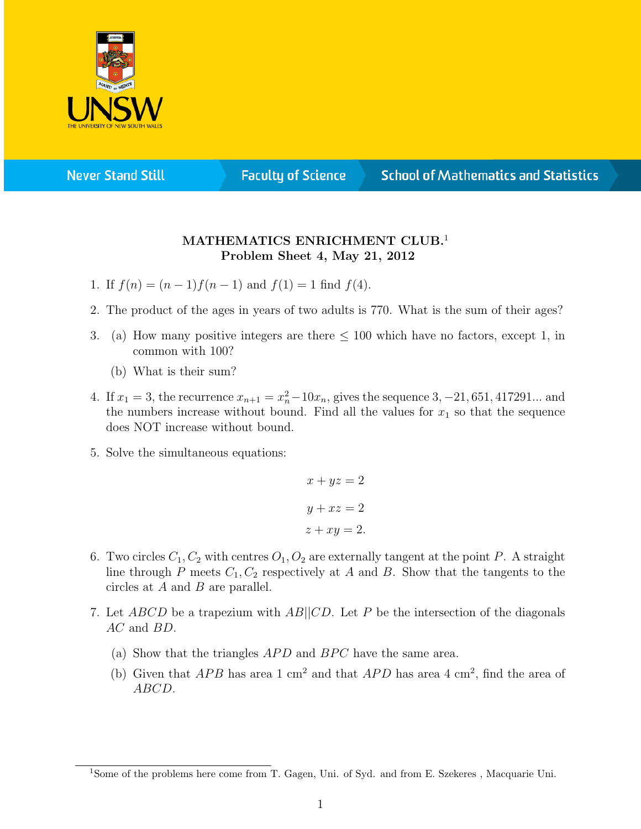

**Never Stand Still** 

**Faculty of Science** 

## **School of Mathematics and Statistics**

## MATHEMATICS ENRICHMENT CLUB.<sup>1</sup> Problem Sheet 4, May 21, 2012

- 1. If  $f(n) = (n-1)f(n-1)$  and  $f(1) = 1$  find  $f(4)$ .
- 2. The product of the ages in years of two adults is 770. What is the sum of their ages?
- 3. (a) How many positive integers are there  $\leq 100$  which have no factors, except 1, in common with 100?
	- (b) What is their sum?
- 4. If  $x_1 = 3$ , the recurrence  $x_{n+1} = x_n^2 10x_n$ , gives the sequence 3, -21, 651, 417291... and the numbers increase without bound. Find all the values for  $x_1$  so that the sequence does NOT increase without bound.
- 5. Solve the simultaneous equations:

$$
x + yz = 2
$$

$$
y + xz = 2
$$

$$
z + xy = 2.
$$

- 6. Two circles  $C_1, C_2$  with centres  $O_1, O_2$  are externally tangent at the point P. A straight line through P meets  $C_1, C_2$  respectively at A and B. Show that the tangents to the circles at A and B are parallel.
- 7. Let ABCD be a trapezium with AB||CD. Let P be the intersection of the diagonals AC and BD.
	- (a) Show that the triangles  $APD$  and  $BPC$  have the same area.
	- (b) Given that  $APB$  has area 1 cm<sup>2</sup> and that  $APD$  has area 4 cm<sup>2</sup>, find the area of ABCD.

<sup>&</sup>lt;sup>1</sup>Some of the problems here come from T. Gagen, Uni. of Syd. and from E. Szekeres, Macquarie Uni.